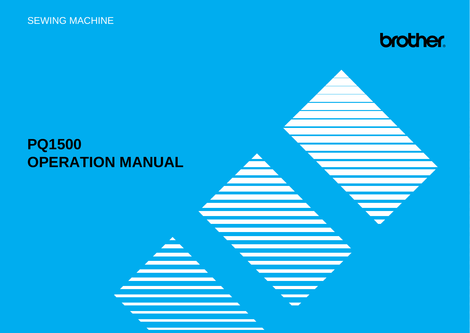

### **PQ1500 OPERATION MANUAL**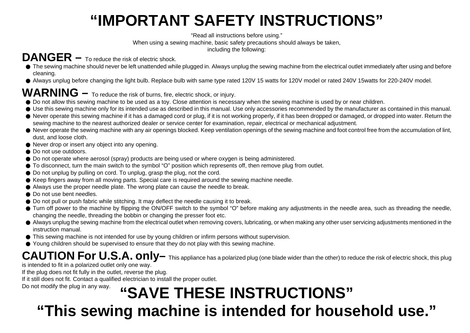### **"IMPORTANT SAFETY INSTRUCTIONS"**

"Read all instructions before using."

When using a sewing machine, basic safety precautions should always be taken,

including the following:

### **DANGER –** To reduce the risk of electric shock.

- The sewing machine should never be left unattended while plugged in. Always unplug the sewing machine from the electrical outlet immediately after using and before cleaning.
- Always unplug before changing the light bulb. Replace bulb with same type rated 120V 15 watts for 120V model or rated 240V 15watts for 220-240V model.

### **WARNING –** To reduce the risk of burns, fire, electric shock, or injury.

- Do not allow this sewing machine to be used as a toy. Close attention is necessary when the sewing machine is used by or near children.
- Use this sewing machine only for its intended use as described in this manual. Use only accessories recommended by the manufacturer as contained in this manual.
- Never operate this sewing machine if it has a damaged cord or plug, if it is not working properly, if it has been dropped or damaged, or dropped into water. Return the sewing machine to the nearest authorized dealer or service center for examination, repair, electrical or mechanical adjustment.
- Never operate the sewing machine with any air openings blocked. Keep ventilation openings of the sewing machine and foot control free from the accumulation of lint, dust, and loose cloth.
- Never drop or insert any object into any opening.
- Do not use outdoors.
- Do not operate where aerosol (spray) products are being used or where oxygen is being administered.
- To disconnect, turn the main switch to the symbol "O" position which represents off, then remove plug from outlet.
- Do not unplug by pulling on cord. To unplug, grasp the plug, not the cord.
- Keep fingers away from all moving parts. Special care is required around the sewing machine needle.
- Always use the proper needle plate. The wrong plate can cause the needle to break.
- Do not use bent needles.
- Do not pull or push fabric while stitching. It may deflect the needle causing it to break.
- Turn off power to the machine by flipping the ON/OFF switch to the symbol "O" before making any adjustments in the needle area, such as threading the needle, changing the needle, threading the bobbin or changing the presser foot etc.
- Always unplug the sewing machine from the electrical outlet when removing covers, lubricating, or when making any other user servicing adjustments mentioned in the instruction manual.
- This sewing machine is not intended for use by young children or infirm persons without supervision.
- Young children should be supervised to ensure that they do not play with this sewing machine.

### **CAUTION For U.S.A. only–** This appliance has a polarized plug (one blade wider than the other) to reduce the risk of electric shock, this plug

is intended to fit in a polarized outlet only one way.

If the plug does not fit fully in the outlet, reverse the plug.

If it still does not fit. Contact a qualified electrician to install the proper outlet.

### Do not modify the plug in any way. **"SAVE THESE INSTRUCTIONS"**

### **"This sewing machine is intended for household use."**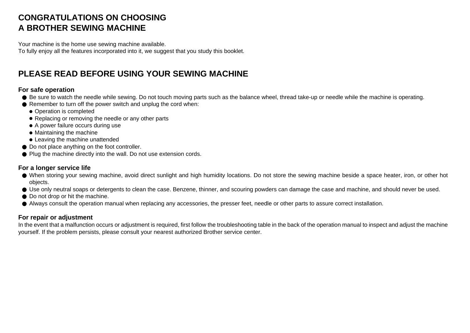#### **CONGRATULATIONS ON CHOOSING A BROTHER SEWING MACHINE**

Your machine is the home use sewing machine available. To fully enjoy all the features incorporated into it, we suggest that you study this booklet.

#### **PLEASE READ BEFORE USING YOUR SEWING MACHINE**

#### **For safe operation**

- Be sure to watch the needle while sewing. Do not touch moving parts such as the balance wheel, thread take-up or needle while the machine is operating.
- Remember to turn off the power switch and unplug the cord when:
	- Operation is completed
	- Replacing or removing the needle or any other parts
	- A power failure occurs during use
	- Maintaining the machine
	- Leaving the machine unattended
- Do not place anything on the foot controller.
- Plug the machine directly into the wall. Do not use extension cords.

#### **For a longer service life**

- When storing your sewing machine, avoid direct sunlight and high humidity locations. Do not store the sewing machine beside a space heater, iron, or other hot objects.
- Use only neutral soaps or detergents to clean the case. Benzene, thinner, and scouring powders can damage the case and machine, and should never be used.
- Do not drop or hit the machine.
- Always consult the operation manual when replacing any accessories, the presser feet, needle or other parts to assure correct installation.

#### **For repair or adjustment**

In the event that a malfunction occurs or adjustment is required, first follow the troubleshooting table in the back of the operation manual to inspect and adjust the machine yourself. If the problem persists, please consult your nearest authorized Brother service center.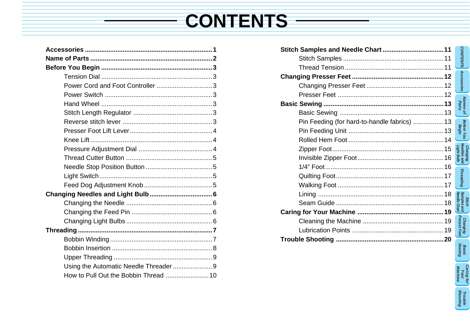# **CONTENTS**

| Power Cord and Foot Controller 3      |  |
|---------------------------------------|--|
|                                       |  |
|                                       |  |
|                                       |  |
|                                       |  |
|                                       |  |
|                                       |  |
|                                       |  |
|                                       |  |
|                                       |  |
|                                       |  |
|                                       |  |
|                                       |  |
|                                       |  |
|                                       |  |
|                                       |  |
|                                       |  |
|                                       |  |
|                                       |  |
|                                       |  |
| Using the Automatic Needle Threader9  |  |
| How to Pull Out the Bobbin Thread  10 |  |

Ottal Complex and N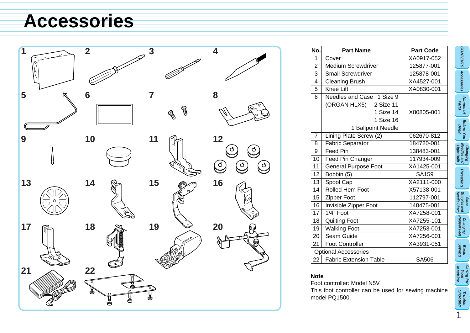### **Accessories**



| No.                         | <b>Part Name</b>                                                                                    | <b>Part Code</b> |  |  |
|-----------------------------|-----------------------------------------------------------------------------------------------------|------------------|--|--|
| 1                           | Cover                                                                                               | XA0917-052       |  |  |
| $\overline{2}$              | <b>Medium Screwdriver</b>                                                                           | 125877-001       |  |  |
| 3                           | <b>Small Screwdriver</b>                                                                            | 125878-001       |  |  |
| 4                           | <b>Cleaning Brush</b>                                                                               | XA4527-001       |  |  |
| 5                           | Knee Lift                                                                                           | XA0830-001       |  |  |
| 6                           | Needles and Case 1 Size 9<br>(ORGAN HLX5) 2 Size 11<br>1 Size 14<br>1 Size 16<br>1 Ballpoint Needle | X80805-001       |  |  |
| $\overline{7}$              | Lining Plate Screw (2)                                                                              | 062670-812       |  |  |
| 8                           | Fabric Separator                                                                                    | 184720-001       |  |  |
| 9                           | Feed Pin                                                                                            | 138483-001       |  |  |
| 10                          | Feed Pin Changer                                                                                    | 117934-009       |  |  |
| 11                          | <b>General Purpose Foot</b>                                                                         | XA1425-001       |  |  |
| 12                          | Bobbin (5)                                                                                          | SA159            |  |  |
| 13                          | Spool Cap                                                                                           | XA2111-000       |  |  |
| 14                          | Rolled Hem Foot                                                                                     | X57138-001       |  |  |
| 15                          | Zipper Foot                                                                                         | 112797-001       |  |  |
| 16                          | Invisible Zipper Foot                                                                               | 148475-001       |  |  |
| 17                          | $1/4$ " Foot                                                                                        | XA7258-001       |  |  |
| 18                          | <b>Quilting Foot</b>                                                                                | XA7255-101       |  |  |
| 19                          | <b>Walking Foot</b>                                                                                 | XA7253-001       |  |  |
| ا 20                        | Seam Guide                                                                                          | XA7256-001       |  |  |
| 21                          | <b>Foot Controller</b>                                                                              | XA3931-051       |  |  |
| <b>Optional Accessories</b> |                                                                                                     |                  |  |  |
| 22                          | <b>Fabric Extension Table</b>                                                                       | SA506            |  |  |

#### **Note**

Foot controller: Model N5V This foot controller can be used for sewing machine model PQ1500.

**Shooting Trouble**

**CONTENTS**

CONTENTS Accessories

**Accessories**

**Names of** 

**Before You** 

**Changing Needles and Light Bulb**

**Threading**

Threading

**Stitch Needle Chart Samples and**

**Changing Presser Feet**

**Basic Sewing**

**Caring for Your Machine**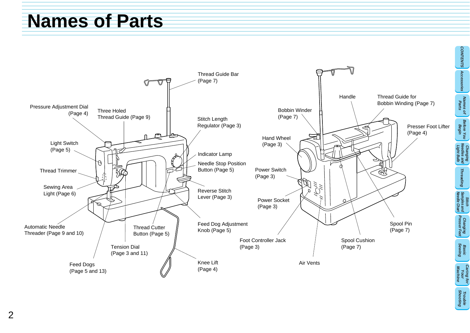### **Na[me](#page-9-0)s of Parts**

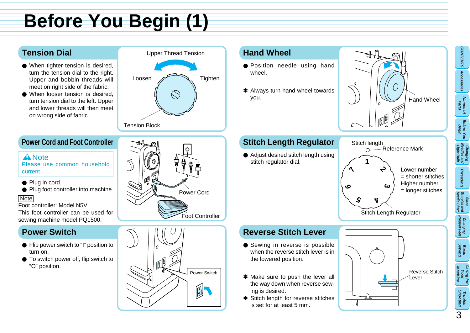# **Before You Begin (1)**

#### **Tension Dial**

- When tighter tension is desired, turn the tension dial to the right. Upper and bobbin threads will meet on right side of the fabric.
- When looser tension is desired. turn tension dial to the left. Upper and lower threads will then meet on wrong side of fabric.

### Upper Thread Tension Loosen  $\overline{\phantom{a}}$  Tighten  $\otimes$ Tension Block

#### **Power Cord and Foot Controller**

#### **A** Note

Please use common household current.

- Plug in cord.
- Plug foot controller into machine.

#### **Note**

Foot controller: Model N5V This foot controller can be used for sewing machine model PQ1500.

#### **Power Switch**

- Flip power switch to "I" position to turn on.
- To switch power off, flip switch to "O" position.





#### **Hand Wheel**

- Position needle using hand wheel.
- ✽ Always turn hand wheel towards you.

#### **Stitch Length Regulator**

● Adjust desired stitch length using stitch regulator dial.





#### **Reverse Stitch Lever**

- Sewing in reverse is possible when the reverse stitch lever is in the lowered position.
- ✽ Make sure to push the lever all the way down when reverse sewing is desired.
- ✽ Stitch length for reverse stitches is set for at least 5 mm.



3

**CONTENTS**

**Accessories**

CONTENTS Accessories

**Names of Parts**

**Before You Begin**

**Changing Needles and Light Bulb**

**Threading**

**Threading** 

**Samples and** 

**Changing Presser Feet**

**Basic Sewing**

**Caring for Your Machine**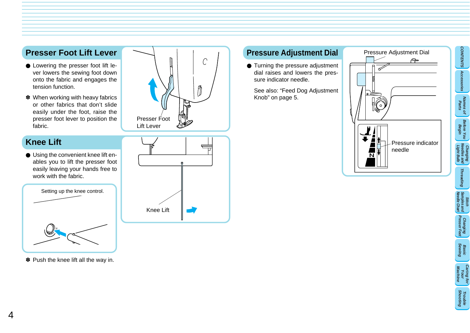#### **Presser Foot Lift Lever**

- Lowering the presser foot lift lever lowers the sewing foot down onto the fabric and engages the tension function.
- ✽ When working with heavy fabrics or other fabrics that don't slide easily under the foot, raise the presser foot lever to position the fabric.

#### **Knee Lift**

● Using the convenient knee lift enables you to lift the presser foot easily leaving your hands free to work with the fabric.



✽ Push the knee lift all the way in.





#### **Pressure Adjustment Dial**

● Turning the pressure adjustment dial raises and lowers the pressure indicator needle.

See also: "Feed Dog Adjustment Knob" on page 5.

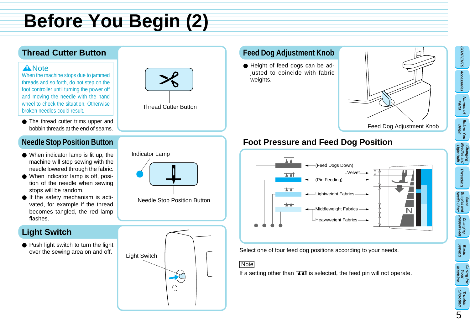# **Before You Begin (2)**

#### **Thread Cutter Button**

#### **A** Note

When the machine stops due to jammed threads and so forth, do not step on the foot controller until turning the power off and moving the needle with the hand wheel to check the situation. Otherwise broken needles could result.

● The thread cutter trims upper and bobbin threads at the end of seams.

#### **Needle Stop Position Button**

- When indicator lamp is lit up, the machine will stop sewing with the needle lowered through the fabric.
- When indicator lamp is off, position of the needle when sewing stops will be random.
- If the safety mechanism is activated, for example if the thread becomes tangled, the red lamp flashes.

#### **Light Switch**

● Push light switch to turn the light over the sewing area on and off.



Indicator Lamp

#### **Feed Dog Adjustment Knob**

● Height of feed dogs can be adjusted to coincide with fabric weights.



#### **Foot Pressure and Feed Dog Position**



Select one of four feed dog positions according to your needs.

#### Note

If a setting other than  $\exists \exists t$  is selected, the feed pin will not operate.

### **Caring for Your Machine Shooting Trouble**

5



Needle Stop Position Button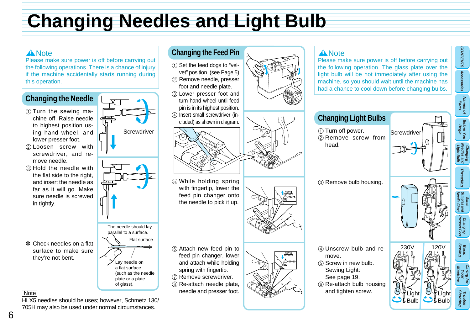### <span id="page-9-0"></span>**Changing Needles and Light Bulb**

#### **A** Note

Please make sure power is off before carrying out the following operations. There is a chance of injury if the machine accidentally starts running during this operation.

#### **Changing the Needle**

- $(1)$  Turn the sewing machine off. Raise needle to highest position using hand wheel, and lower presser foot.
- 2 Loosen screw with screwdriver, and remove needle.
- 3 Hold the needle with the flat side to the right, and insert the needle as far as it will go. Make sure needle is screwed in tightly.

✽ Check needles on a flat surface to make sure they're not bent.

**Screwdriver** 



of glass).

### **Changing the Feed Pin**

- 1 Set the feed dogs to "velvet" position. (see Page 5) 2 Remove needle, presser
- foot and needle plate.
- 3 Lower presser foot and turn hand wheel until feed pin is in its highest position. 4 Insert small screwdriver (in-
- cluded) as shown in diagram.



- 5 While holding spring with fingertip, lower the feed pin changer onto the needle to pick it up.
- 6 Attach new feed pin to feed pin changer, lower and attach while holding spring with fingertip.
- 7 Remove screwdriver. 8 Re-attach needle plate, needle and presser foot.









#### **A** Note

Please make sure power is of the following operation. The light bulb will be hot immedi machine, so you should wait u had a chance to cool down be

| <b>Changing Light Bulbs</b>                                                                                                                |   |
|--------------------------------------------------------------------------------------------------------------------------------------------|---|
| ① Turn off power.<br>2 Remove screw from<br>head.                                                                                          | S |
| ③ Remove bulb housing.                                                                                                                     |   |
| 4 Unscrew bulb and re-<br>move.<br>5 Screw in new bulb.<br>Sewing Light:<br>See page 19.<br>6 Re-attach bulb housing<br>and tighten screw. |   |

#### | Note

HLX5 needles should be uses; however, Schmetz 130/ 705H may also be used under normal circumstances.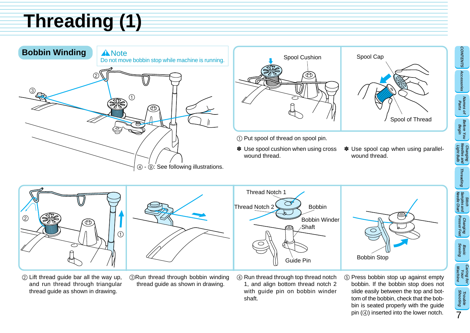# <span id="page-10-0"></span>**Threading (1)**







- 1 Put spool of thread on spool pin.
- ✽ Use spool cushion when using cross wound thread.
- ✽ Use spool cap when using parallelwound thread.



- 2 Lift thread guide bar all the way up, and run thread through triangular thread guide as shown in drawing.
- 3Run thread through bobbin winding thread guide as shown in drawing.
- 4 Run thread through top thread notch 1, and align bottom thread notch 2 with guide pin on bobbin winder shaft.
- 5 Press bobbin stop up against empty bobbin. If the bobbin stop does not slide easily between the top and bottom of the bobbin, check that the bobbin is seated properly with the guide pin (4) inserted into the lower notch.

**CONTENTS**

**Accessories**

CONTENTS Accessories

**Names of Parts**

**Before You Begin**

**Changing Needles and Light Bulb**

**Threading**

**Stitch Needle Chart Samples and**

**Changing Presser Feet**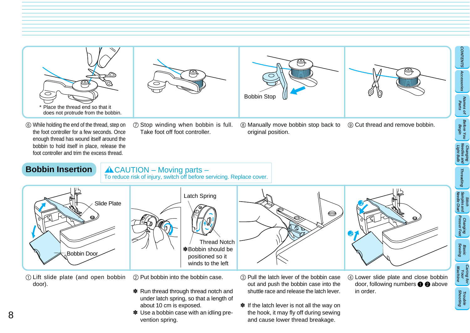<span id="page-11-0"></span>







**CONTENTS**

**Accessories**

CONTENTS Accessories

**Names of Parts**

**Before You Begin**

**Changing Needles and Light Bulb**

**Threading**

**Threading** 

**Stitch Needle Chart Samples and**

**Changing Presser Feet**

**Basic Sewing**

**Caring for Your Machine**

**Shooting Trouble**

- 6 While holding the end of the thread, step on the foot controller for a few seconds. Once enough thread has wound itself around the bobbin to hold itself in place, release the foot controller and trim the excess thread.
- 7 Stop winding when bobbin is full. Take foot off foot controller.
- 8 Manually move bobbin stop back to original position. 9 Cut thread and remove bobbin.

#### **Bobbin Insertion**

 $ACAUTION - Moving parts -$ To reduce risk of injury, switch off before servicing. Replace cover.



Latch Spring Thread Notch ✽ Bobbin should be positioned so it winds to the left





1 Lift slide plate (and open bobbin door).

2 Put bobbin into the bobbin case.

- ✽ Run thread through thread notch and under latch spring, so that a length of about 10 cm is exposed.
- ✽ Use a bobbin case with an idling prevention spring.
- 3 Pull the latch lever of the bobbin case out and push the bobbin case into the shuttle race and release the latch lever.
- ✽ If the latch lever is not all the way on the hook, it may fly off during sewing and cause lower thread breakage.
- 4 Lower slide plate and close bobbin door, following numbers  $\bigcirc$  2 above in order.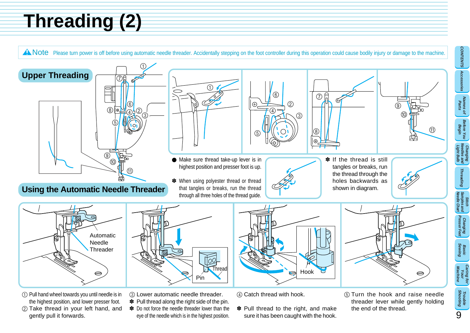# <span id="page-12-0"></span>**Threading (2)**

A Note Please turn power is off before using automatic needle threader. Accidentally stepping on the foot controller during this operation could cause bodily injury or damage to the machine.

**CONTENTS**

CONTENTS Accessories

**Accessories**

**Threading**

Threading

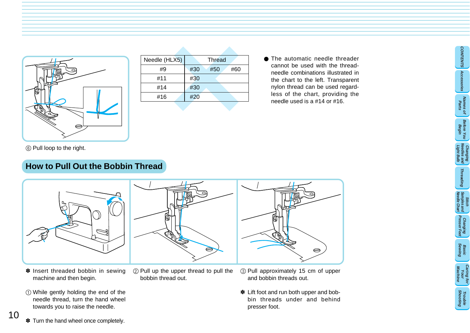<span id="page-13-0"></span>

| Needle (HLX5) | Thread            |
|---------------|-------------------|
| #9            | #30<br>#50<br>#60 |
| #11           | #30               |
| #14           | #30               |
| #16           | #20               |
|               |                   |

● The automatic needle threader cannot be used with the threadneedle combinations illustrated in the chart to the left. Transparent nylon thread can be used regardless of the chart, providing the needle used is a #14 or #16.

# **EDD** Pull loop to the right.<br> **How to Pull Out the Bobbin Thread**



- ✽ Insert threaded bobbin in sewing machine and then begin.
- 1 While gently holding the end of the needle thread, turn the hand wheel towards you to raise the needle.



- 2 Pull up the upper thread to pull the bobbin thread out.
- 3 Pull approximately 15 cm of upper and bobbin threads out.
- ✽ Lift foot and run both upper and bobbin threads under and behind presser foot.





**Basic Sewing**

**Caring for Your Machine**

**Shooting Trouble**

**CONTENTS**

**Accessories**

CONTENTS Accessories

**Names of Parts** 

**Before You Begin**

**Changing Needles and Light Bulb**

**Threading**

Threading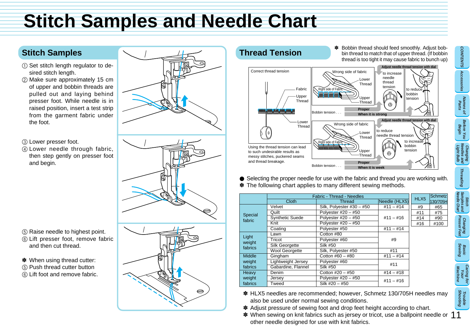### **Stitch Samples and Needle Chart**

#### **Stitch Samples**

- 1 Set stitch length regulator to desired stitch length.
- 2 Make sure approximately 15 cm of upper and bobbin threads are pulled out and laying behind presser foot. While needle is in raised position, insert a test strip from the garment fabric under the foot.
- 3 Lower presser foot.
- 4 Lower needle through fabric, then step gently on presser foot and begin.

- 5 Raise needle to highest point.
- 6 Lift presser foot, remove fabric and then cut thread.
- ✽ When using thread cutter:
- 5 Push thread cutter button
- 6 Lift foot and remove fabric.





● Selecting the proper needle for use with the fabric and thread you are working with. ✽ The following chart applies to many different sewing methods.

|  |                            | Fabric - Thread - Needles       |                           |               |      | Schmetz |
|--|----------------------------|---------------------------------|---------------------------|---------------|------|---------|
|  |                            | <b>Cloth</b>                    | <b>Thread</b>             | Needle (HLX5) | HLX5 | 130/705 |
|  |                            | Velvet                          | Silk, Polyester #30 - #50 | $#11 - #14$   | #9   | #65     |
|  | Special<br>fabric          | Quilt                           | Polvester $#20 - #50$     |               | #11  | #75     |
|  |                            | <b>Synthetic Suede</b>          | Polyester $#20 - #50$     | $#11 - #16$   | #14  | #90     |
|  |                            | Knit                            | Polvester $#20 - #50$     |               | #16  | #100    |
|  |                            | Coating                         | Polyester #50             | $#11 - #14$   |      |         |
|  | Light<br>weight<br>fabrics | Lawn                            | Cotton #80                |               |      |         |
|  |                            | Tricot                          | Polyester #60             | #9            |      |         |
|  |                            | Silk Georgette                  | <b>Silk #50</b>           |               |      |         |
|  |                            | <b>Wool Georgette</b>           | Silk, Polyester #50       | #11           |      |         |
|  | <b>Middle</b>              | Gingham                         | Cotton #60 - #80          | $#11 - #14$   |      |         |
|  | weight                     | Lightweight Jersey              | Polyester #60             | #11           |      |         |
|  | fabrics                    | Gabardine, Flannel              | Silk #50                  |               |      |         |
|  | Heavy                      | Denim                           | Cotton #20 $-$ #50        | $#14 - #18$   |      |         |
|  | weight                     | Polvester $#20 - #50$<br>Jersev |                           | $#11 - #16$   |      |         |
|  | fabrics                    | Tweed                           | Silk $#20 - #50$          |               |      |         |

- ✽ HLX5 needles are recommended; however, Schmetz 130/705H needles may also be used under normal sewing conditions.
- ✽ Adjust pressure of sewing foot and drop feet height according to chart.
- 11 ✽ When sewing on knit fabrics such as jersey or tricot, use a ballpoint needle or other needle designed for use with knit fabrics.

**Caring for Your Machine Shooting Trouble**

**Basic Sewing**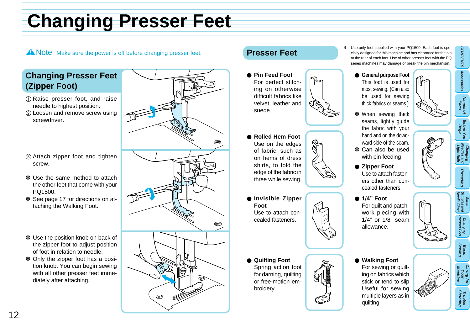# **[Chan](#page-20-0)ging Presser Feet**

#### A Note Make sure the power is off before changing presser feet. **Presser Feet**

#### **Changing Presser Feet (Zipper Foot)**

- 1 Raise presser foot, and raise needle to highest position.
- 2 Loosen and remove screw using screwdriver.
- 3 Attach zipper foot and tighten screw.
- ✽ Use the same method to attach the other feet that come with your PQ1500.
- ✽ See page 17 for directions on attaching the Walking Foot.
- ✽ Use the position knob on back of the zipper foot to adjust position of foot in relation to needle.
- ✽ Only the zipper foot has a position knob. You can begin sewing with all other presser feet immediately after attaching.



- **Pin Feed Foot** For perfect stitching on otherwise difficult fabrics like velvet, leather and suede.
- **Rolled Hem Foot** Use on the edges of fabric, such as on hems of dress shirts, to fold the edge of the fabric in three while sewing.
- **Invisible Zipper Foot** Use to attach concealed fasteners.
- **Quilting Foot** Spring action foot for darning, quilting or free-motion embroidery.

Use only feet supplied with cially designed for this ma at the rear of each foot. Us series machines may dam

- **General purpos** This foot is us most sewing. (C be used for thick fabrics or s
- ✽ When sewing thick seams, lightly the fabric wit hand and on the ward side of the
- \* Can also be with pin feedi
- **Zipper Foot** Use to attach f ers other than cealed fastene
	- **1/4" Foot** For quilt and work piecing  $1/4"$  or  $1/8"$ allowance.
- **Walking Foot** For sewing o ing on fabrics stick or tend Useful for s multiple layer quilting.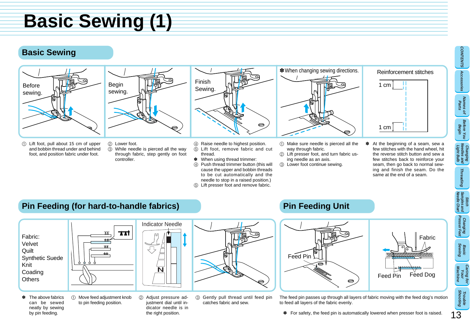### **Basic Sewing (1)**

#### **Basic Sewing**





Begin sewing.

- 1 Lift foot, pull about 15 cm of upper and bobbin thread under and behind foot, and position fabric under foot.
- 2 Lower foot. 3 While needle is pierced all the way through fabric, step gently on foot controller.
- Finish Sewing.
- 4 Raise needle to highest position.<br>
5 Lift foot, remove fabric and of Lift foot, remove fabric and cut thread.
- ✽ When using thread trimmer:
- 4 Push thread trimmer button (this will cause the upper and bobbin threads to be cut automatically and the needle to stop in a raised position.)
- 5 Lift presser foot and remove fabric.



- 1 Make sure needle is pierced all the way through fabric.
- 2 Lift presser foot, and turn fabric using needle as an axis.
- 3 Lower foot continue sewing.



✽ At the beginning of a seam, sew a few stitches with the hand wheel, hit the reverse stitch button and sew a few stitches back to reinforce your seam, then go back to normal sewing and finish the seam. Do the same at the end of a seam.

#### **Pin Feeding (for hard-to-handle fabrics)**



- ✽ The above fabrics can be sewed neatly by sewing by pin feeding.
- 1 Move feed adjustment knob to pin feeding position.
	- 2 Adjust pressure adjustment dial until indicator needle is in the right position.
- 3 Gently pull thread until feed pin catches fabric and sew.

### **Pin Feeding Unit**



The feed pin passes up through all layers of fabric moving with the feed dog's motion to feed all layers of the fabric evenly.

13

**CONTENTS**

**Accessories**

CONTENTS Accessories

**Names of Parts**

**Before You Begin**

**Changing Needles and Light Bulb**

**Threading**

Threading

**Stitch Needle Chart Samples and**

**Changing Presser Feet**

**Basic Sewing**

**Caring for Your Machine**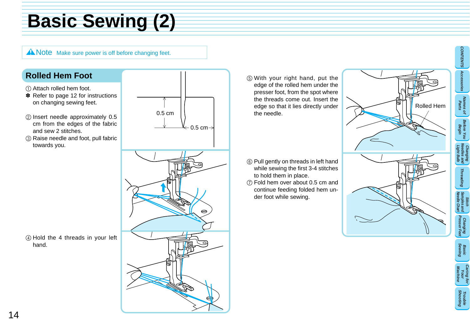# **Basic Sewing (2)**

A Note Make sure power is off before changing feet.

#### **Rolled Hem Foot**

- 1 Attach rolled hem foot.
- ✽ Refer to page 12 for instructions on changing sewing feet.
- 2 Insert needle approximately 0.5 cm from the edges of the fabric and sew 2 stitches.
- 3 Raise needle and foot, pull fabric towards you.





- 5 With your right hand, put the edge of the rolled hem under the presser foot, from the spot where the threads come out. Insert the edge so that it lies directly under the needle.
- 6 Pull gently on threads in left hand while sewing the first 3-4 stitches to hold them in place.
- 7 Fold hem over about 0.5 cm and continue feeding folded hem under foot while sewing.



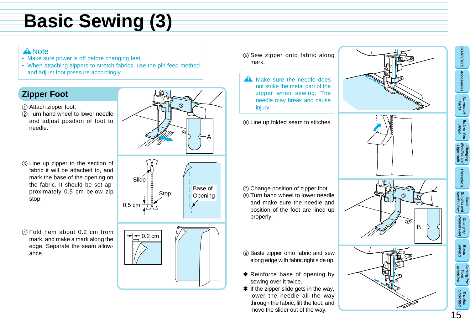# **Basic Sewing (3)**

#### **A** Note

- Make sure power is off before changing feet.
- When attaching zippers to stretch fabrics, use the pin feed method and adjust foot pressure accordingly.

### **Zipper Foot**

- 1 Attach zipper foot.
- 2 Turn hand wheel to lower needle and adjust position of foot to needle.
- 3 Line up zipper to the section of fabric it will be attached to, and mark the base of the opening on the fabric. It should be set approximately 0.5 cm below zip stop.
- 4 Fold hem about 0.2 cm from mark, and make a mark along the edge. Separate the seam allowance.





- 5 Sew zipper onto fabric along mark.
- **A** Make sure the needle does not strike the metal part of the zipper when sewing. The needle may break and cause injury.
- 6 Line up folded seam to stitches.

- 7 Change position of zipper foot. 8 Turn hand wheel to lower needle and make sure the needle and position of the foot are lined up properly.
- 9 Baste zipper onto fabric and sew along edge with fabric right side up.
- ✽ Reinforce base of opening by sewing over it twice.
- ✽ If the zipper slide gets in the way, lower the needle all the way through the fabric, lift the foot, and move the slider out of the way.



**CONTENTS**

**Accessories**

CONTENTS Accessories

**Names of Parts** 

**Before You Begin**

**Changing Needles and Light Bulb**

**Threading**

Threading

**Stitch Needle Chart Samples and**

**Changing Presser Feet**

**Basic Sewing**

**Caring for Your Machine**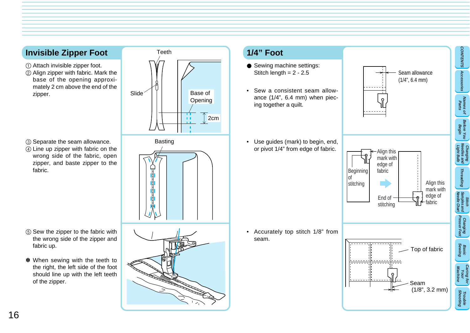#### **Invisible Zipper Foot**

- 1 Attach invisible zipper foot.
- 2 Align zipper with fabric. Mark the base of the opening approximately 2 cm above the end of the zipper.



- 3 Separate the seam allowance.
- 4 Line up zipper with fabric on the wrong side of the fabric, open zipper, and baste zipper to the fabric.

- 5 Sew the zipper to the fabric with the wrong side of the zipper and fabric up.
- ✽ When sewing with the teeth to the right, the left side of the foot should line up with the left teeth of the zipper.

Basting ╔



#### **1/4" Foot**

- Sewing machine settings: Stitch length  $= 2 - 2.5$
- Sew a consistent seam allowance (1/4", 6.4 mm) when piecing together a quilt.
- Use guides (mark) to begin, end, or pivot 1/4" from edge of fabric.

• Accurately top stitch 1/8" from seam.

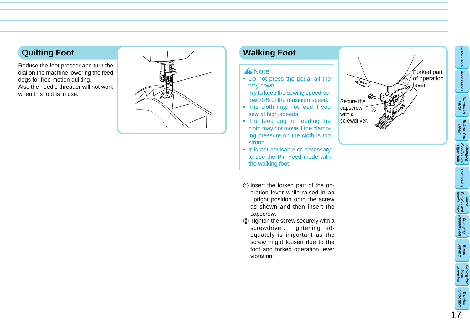#### <span id="page-20-0"></span>**Quilting Foot**

Reduce the foot presser and turn the dial on the machine lowering the feed dogs for free motion quilting. Also the needle threader will not work when this foot is in use.



#### **Walking Foot**

#### **A** Note

• Do not press the pedal all the way down.

Try to keep the sewing speed below 70% of the maxinum speed.

- The cloth may not feed if you sew at high speeds.
- The feed dog for feeding the cloth may not move if the clamping pressure on the cloth is too strong.
- It is not advisable or necessary to use the Pin Feed mode with the walking foot.
- 1 Insert the forked part of the operation lever while raised in an upright position onto the screw as shown and then insert the capscrew.
- 2 Tighten the screw securely with a screwdriver. Tightening adequately is important as the screw might loosen due to the foot and forked operation lever vibration.



**CONTENTS**

**Accessories Names of Parts**

**Before You Begin**

**Changing Needles and Light Bulb**

**Threading**

**Stitch Needle Chart Samples and**

**Changing Presser Feet**

**Basic Sewing**

**Caring for Your Machine**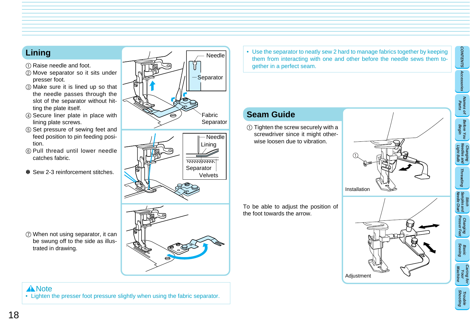#### **Lining**

- 1 Raise needle and foot.
- 2 Move separator so it sits under presser foot.
- 3 Make sure it is lined up so that the needle passes through the slot of the separator without hitting the plate itself.
- 4 Secure liner plate in place with lining plate screws.
- 5 Set pressure of sewing feet and feed position to pin feeding position.
- 6 Pull thread until lower needle catches fabric.
- ✽ Sew 2-3 reinforcement stitches.

7 When not using separator, it can be swung off to the side as illus-

trated in drawing.



**A** Note • Lighten the presser foot pressure slightly when using the fabric separator. • Use the separator to neatly sew 2 hard to manage fabrics together by keeping them from interacting with one and other before the needle sews them together in a perfect seam.

### **Seam Guide**

1 Tighten the screw securely with a screwdriver since it might otherwise loosen due to vibration.

To be able to adjust the position of the foot towards the arrow.







**CONTENTS**

CONTENTS Accessories

**Accessories**

**Names of Parts**

**Before You Begin**

**Changing Needles and Light Bulb**

**Threading**

Threading

**Stitch Needle Chart Samples and**

**Changing Presser Feet**

**Basic Sewing**

**Caring for Your Machine**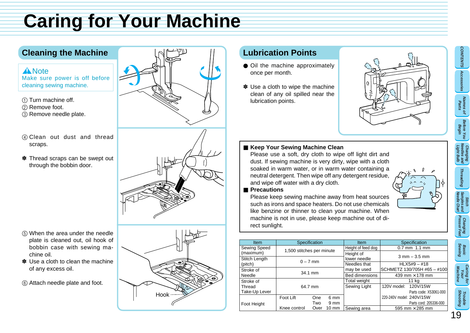# <span id="page-22-0"></span>**Caring for Your Machine**

#### **Cleaning the Machine**

#### **A** Note Make sure power is off before

cleaning sewing machine.

- 1 Turn machine off.
- 2 Remove foot.
- 3 Remove needle plate.
- 4 Clean out dust and thread scraps.
- ✽ Thread scraps can be swept out through the bobbin door.



- 5 When the area under the needle plate is cleaned out, oil hook of bobbin case with sewing machine oil.
- ✽ Use a cloth to clean the machine of any excess oil.
- 6 Attach needle plate and foot.



#### **Lubrication Points**

- Oil the machine approximately once per month.
- ✽ Use a cloth to wipe the machine clean of any oil spilled near the lubrication points.



#### ■ Keep Your Sewing Machine Clean

Please use a soft, dry cloth to wipe off light dirt and dust. If sewing machine is very dirty, wipe with a cloth soaked in warm water, or in warm water containing a neutral detergent. Then wipe off any detergent residue, and wipe off water with a dry cloth.

#### ■ **Precautions**

Please keep sewing machine away from heat sources such as irons and space heaters. Do not use chemicals like benzine or thinner to clean your machine. When machine is not in use, please keep machine out of direct sunlight.

| Item          | Specification             |     | <b>Item</b>           |                                     | Specification               |                        |
|---------------|---------------------------|-----|-----------------------|-------------------------------------|-----------------------------|------------------------|
| Sewing Speed  | 1,500 stitches per minute |     | Height of feed dog    |                                     | $0.7$ mm $1.1$ mm           |                        |
| (maximum)     |                           |     | Height of             | $3 \, \text{mm} - 3.5 \, \text{mm}$ |                             |                        |
| Stitch Length | $0 - 7$ mm                |     | lower needle          |                                     |                             |                        |
| (pitch)       |                           |     | Needles that          |                                     | $HLX5#9 - #18$              |                        |
| Stroke of     | 34.1 mm                   |     | may be used           |                                     | SCHMETZ 130/705H #65 - #100 |                        |
| Needle        |                           |     | <b>Bed dimensions</b> |                                     | 439 mm × 178 mm             |                        |
| Stroke of     |                           |     | Total weight          |                                     | 11 kg                       |                        |
| Thread        | 64.7 mm                   |     | Sewing Light          | 120V model: 120V/15W                |                             |                        |
| Take-Up Lever |                           |     |                       |                                     |                             | Parts code: X53061-000 |
|               | Foot Lift                 | One | 6 mm                  |                                     | 220-240V model: 240V/15W    |                        |
| Foot Height   |                           | Two | $9 \text{ mm}$        |                                     |                             | Parts cord: 205336-000 |
|               | Knee control<br>Over      |     | $10 \text{ mm}$       | Sewing area                         | 595 mm $\times$ 285 mm      |                        |

19

**CONTENTS**

**Accessories**

CONTENTS Accessories

**Names of Parts**

**Before You Begin**

**Changing Needles and Light Bulb**

**Threading**

Threading

**Sand**<br> **Stiart** 

**Changing Presser Feet**

**Basic Sewing**

**Caring for Your Machine**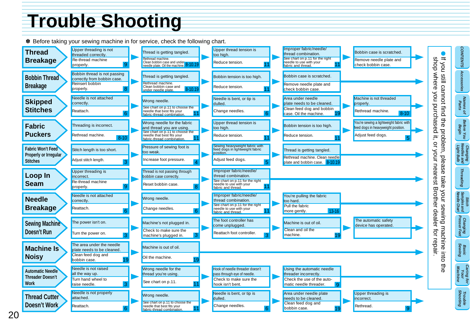# <span id="page-23-0"></span>**Trouble S[ho](#page-9-0)oting**



✽ Before taking your sewing machine in for service, check the following chart.